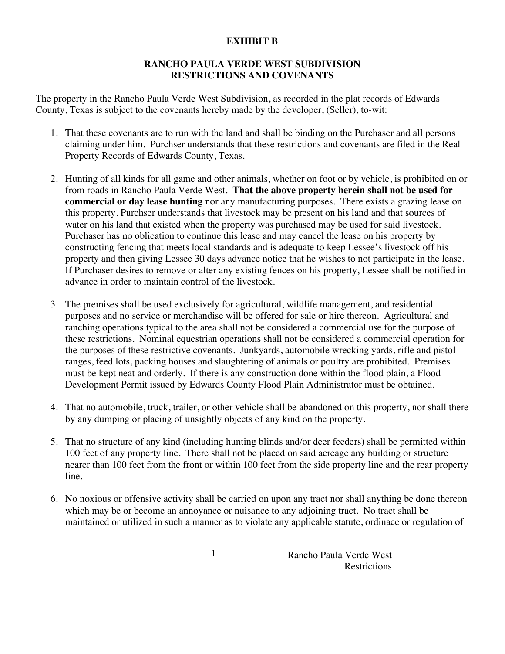## **EXHIBIT B**

## **RANCHO PAULA VERDE WEST SUBDIVISION RESTRICTIONS AND COVENANTS**

The property in the Rancho Paula Verde West Subdivision, as recorded in the plat records of Edwards County, Texas is subject to the covenants hereby made by the developer, (Seller), to-wit:

- 1. That these covenants are to run with the land and shall be binding on the Purchaser and all persons claiming under him. Purchser understands that these restrictions and covenants are filed in the Real Property Records of Edwards County, Texas.
- 2. Hunting of all kinds for all game and other animals, whether on foot or by vehicle, is prohibited on or from roads in Rancho Paula Verde West. **That the above property herein shall not be used for commercial or day lease hunting** nor any manufacturing purposes. There exists a grazing lease on this property. Purchser understands that livestock may be present on his land and that sources of water on his land that existed when the property was purchased may be used for said livestock. Purchaser has no oblication to continue this lease and may cancel the lease on his property by constructing fencing that meets local standards and is adequate to keep Lessee's livestock off his property and then giving Lessee 30 days advance notice that he wishes to not participate in the lease. If Purchaser desires to remove or alter any existing fences on his property, Lessee shall be notified in advance in order to maintain control of the livestock.
- 3. The premises shall be used exclusively for agricultural, wildlife management, and residential purposes and no service or merchandise will be offered for sale or hire thereon. Agricultural and ranching operations typical to the area shall not be considered a commercial use for the purpose of these restrictions. Nominal equestrian operations shall not be considered a commercial operation for the purposes of these restrictive covenants. Junkyards, automobile wrecking yards, rifle and pistol ranges, feed lots, packing houses and slaughtering of animals or poultry are prohibited. Premises must be kept neat and orderly. If there is any construction done within the flood plain, a Flood Development Permit issued by Edwards County Flood Plain Administrator must be obtained.
- 4. That no automobile, truck, trailer, or other vehicle shall be abandoned on this property, nor shall there by any dumping or placing of unsightly objects of any kind on the property.
- 5. That no structure of any kind (including hunting blinds and/or deer feeders) shall be permitted within 100 feet of any property line. There shall not be placed on said acreage any building or structure nearer than 100 feet from the front or within 100 feet from the side property line and the rear property line.
- 6. No noxious or offensive activity shall be carried on upon any tract nor shall anything be done thereon which may be or become an annoyance or nuisance to any adjoining tract. No tract shall be maintained or utilized in such a manner as to violate any applicable statute, ordinace or regulation of

1 Rancho Paula Verde West **Restrictions**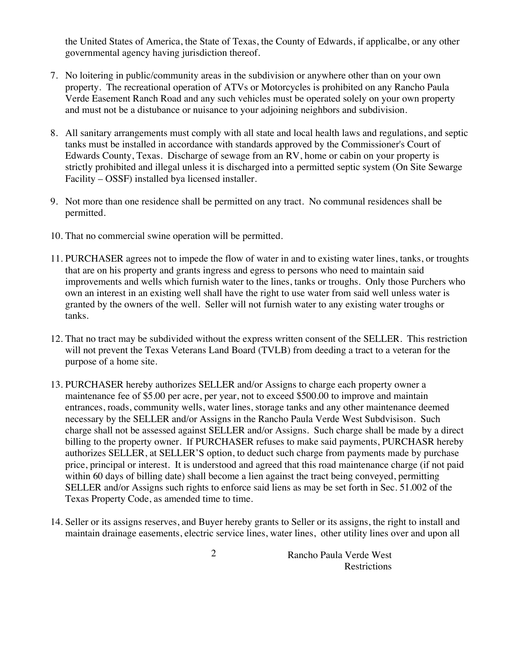the United States of America, the State of Texas, the County of Edwards, if applicalbe, or any other governmental agency having jurisdiction thereof.

- 7. No loitering in public/community areas in the subdivision or anywhere other than on your own property. The recreational operation of ATVs or Motorcycles is prohibited on any Rancho Paula Verde Easement Ranch Road and any such vehicles must be operated solely on your own property and must not be a distubance or nuisance to your adjoining neighbors and subdivision.
- 8. All sanitary arrangements must comply with all state and local health laws and regulations, and septic tanks must be installed in accordance with standards approved by the Commissioner's Court of Edwards County, Texas. Discharge of sewage from an RV, home or cabin on your property is strictly prohibited and illegal unless it is discharged into a permitted septic system (On Site Sewarge Facility – OSSF) installed bya licensed installer.
- 9. Not more than one residence shall be permitted on any tract. No communal residences shall be permitted.
- 10. That no commercial swine operation will be permitted.
- 11. PURCHASER agrees not to impede the flow of water in and to existing water lines, tanks, or troughts that are on his property and grants ingress and egress to persons who need to maintain said improvements and wells which furnish water to the lines, tanks or troughs. Only those Purchers who own an interest in an existing well shall have the right to use water from said well unless water is granted by the owners of the well. Seller will not furnish water to any existing water troughs or tanks.
- 12. That no tract may be subdivided without the express written consent of the SELLER. This restriction will not prevent the Texas Veterans Land Board (TVLB) from deeding a tract to a veteran for the purpose of a home site.
- 13. PURCHASER hereby authorizes SELLER and/or Assigns to charge each property owner a maintenance fee of \$5.00 per acre, per year, not to exceed \$500.00 to improve and maintain entrances, roads, community wells, water lines, storage tanks and any other maintenance deemed necessary by the SELLER and/or Assigns in the Rancho Paula Verde West Subdvisison. Such charge shall not be assessed against SELLER and/or Assigns. Such charge shall be made by a direct billing to the property owner. If PURCHASER refuses to make said payments, PURCHASR hereby authorizes SELLER, at SELLER'S option, to deduct such charge from payments made by purchase price, principal or interest. It is understood and agreed that this road maintenance charge (if not paid within 60 days of billing date) shall become a lien against the tract being conveyed, permitting SELLER and/or Assigns such rights to enforce said liens as may be set forth in Sec. 51.002 of the Texas Property Code, as amended time to time.
- 14. Seller or its assigns reserves, and Buyer hereby grants to Seller or its assigns, the right to install and maintain drainage easements, electric service lines, water lines, other utility lines over and upon all

2 Rancho Paula Verde West Restrictions